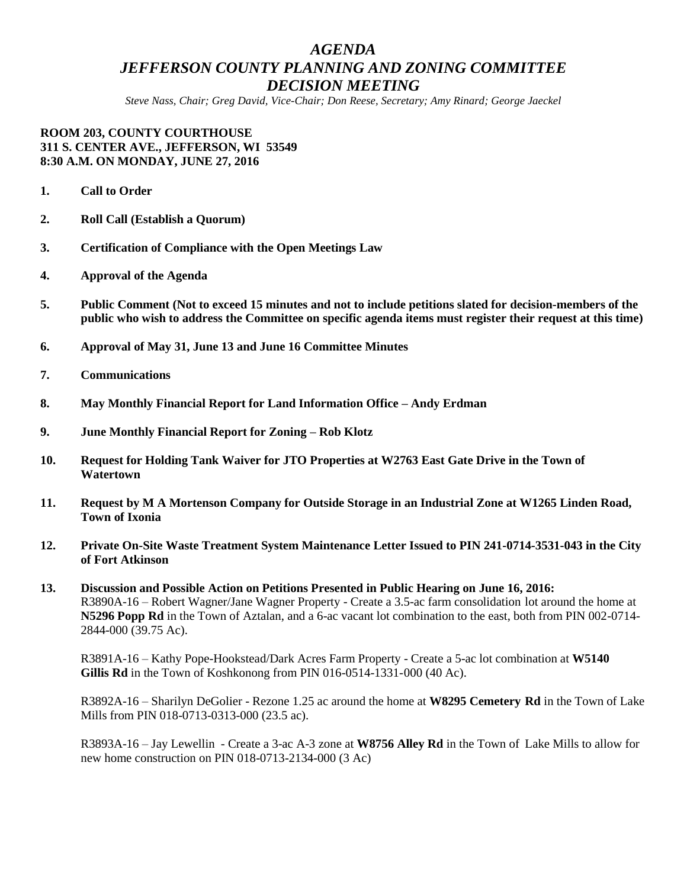# *AGENDA JEFFERSON COUNTY PLANNING AND ZONING COMMITTEE DECISION MEETING*

*Steve Nass, Chair; Greg David, Vice-Chair; Don Reese, Secretary; Amy Rinard; George Jaeckel*

#### **ROOM 203, COUNTY COURTHOUSE 311 S. CENTER AVE., JEFFERSON, WI 53549 8:30 A.M. ON MONDAY, JUNE 27, 2016**

- **1. Call to Order**
- **2. Roll Call (Establish a Quorum)**
- **3. Certification of Compliance with the Open Meetings Law**
- **4. Approval of the Agenda**
- **5. Public Comment (Not to exceed 15 minutes and not to include petitions slated for decision-members of the public who wish to address the Committee on specific agenda items must register their request at this time)**
- **6. Approval of May 31, June 13 and June 16 Committee Minutes**
- **7. Communications**
- **8. May Monthly Financial Report for Land Information Office – Andy Erdman**
- **9. June Monthly Financial Report for Zoning – Rob Klotz**
- **10. Request for Holding Tank Waiver for JTO Properties at W2763 East Gate Drive in the Town of Watertown**
- **11. Request by M A Mortenson Company for Outside Storage in an Industrial Zone at W1265 Linden Road, Town of Ixonia**
- **12. Private On-Site Waste Treatment System Maintenance Letter Issued to PIN 241-0714-3531-043 in the City of Fort Atkinson**
- **13. Discussion and Possible Action on Petitions Presented in Public Hearing on June 16, 2016:** R3890A-16 – Robert Wagner/Jane Wagner Property - Create a 3.5-ac farm consolidation lot around the home at **N5296 Popp Rd** in the Town of Aztalan, and a 6-ac vacant lot combination to the east, both from PIN 002-0714- 2844-000 (39.75 Ac).

R3891A-16 – Kathy Pope-Hookstead/Dark Acres Farm Property - Create a 5-ac lot combination at **W5140 Gillis Rd** in the Town of Koshkonong from PIN 016-0514-1331-000 (40 Ac).

R3892A-16 – Sharilyn DeGolier - Rezone 1.25 ac around the home at **W8295 Cemetery Rd** in the Town of Lake Mills from PIN 018-0713-0313-000 (23.5 ac).

R3893A-16 – Jay Lewellin - Create a 3-ac A-3 zone at **W8756 Alley Rd** in the Town of Lake Mills to allow for new home construction on PIN 018-0713-2134-000 (3 Ac)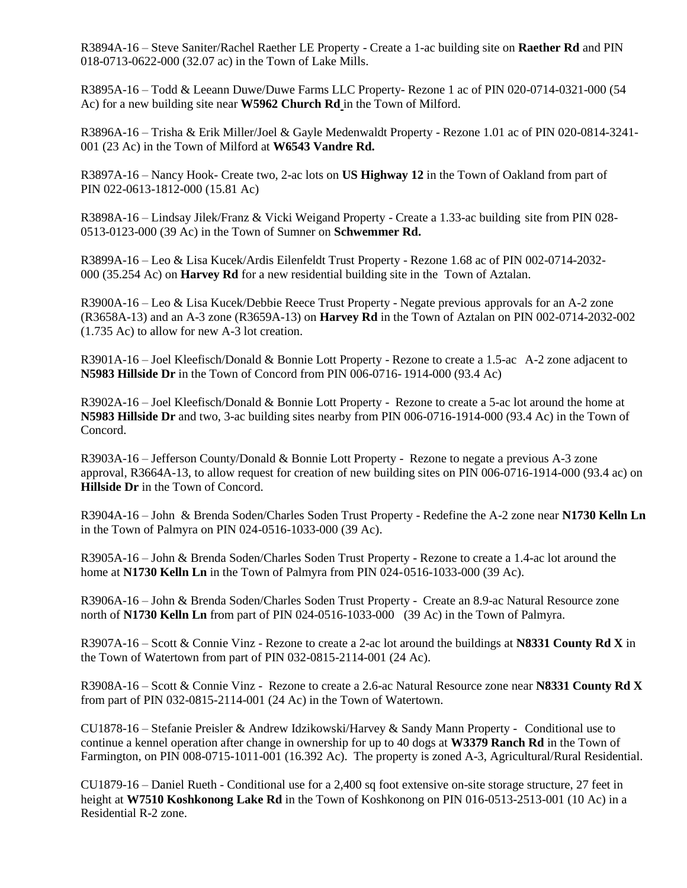R3894A-16 – Steve Saniter/Rachel Raether LE Property - Create a 1-ac building site on **Raether Rd** and PIN 018-0713-0622-000 (32.07 ac) in the Town of Lake Mills.

R3895A-16 – Todd & Leeann Duwe/Duwe Farms LLC Property- Rezone 1 ac of PIN 020-0714-0321-000 (54 Ac) for a new building site near **W5962 Church Rd** in the Town of Milford.

R3896A-16 – Trisha & Erik Miller/Joel & Gayle Medenwaldt Property - Rezone 1.01 ac of PIN 020-0814-3241- 001 (23 Ac) in the Town of Milford at **W6543 Vandre Rd.**

R3897A-16 – Nancy Hook- Create two, 2-ac lots on **US Highway 12** in the Town of Oakland from part of PIN 022-0613-1812-000 (15.81 Ac)

R3898A-16 – Lindsay Jilek/Franz & Vicki Weigand Property - Create a 1.33-ac building site from PIN 028- 0513-0123-000 (39 Ac) in the Town of Sumner on **Schwemmer Rd.**

R3899A-16 – Leo & Lisa Kucek/Ardis Eilenfeldt Trust Property - Rezone 1.68 ac of PIN 002-0714-2032- 000 (35.254 Ac) on **Harvey Rd** for a new residential building site in the Town of Aztalan.

R3900A-16 – Leo & Lisa Kucek/Debbie Reece Trust Property - Negate previous approvals for an A-2 zone (R3658A-13) and an A-3 zone (R3659A-13) on **Harvey Rd** in the Town of Aztalan on PIN 002-0714-2032-002 (1.735 Ac) to allow for new A-3 lot creation.

R3901A-16 – Joel Kleefisch/Donald & Bonnie Lott Property - Rezone to create a 1.5-ac A-2 zone adjacent to **N5983 Hillside Dr** in the Town of Concord from PIN 006-0716- 1914-000 (93.4 Ac)

R3902A-16 – Joel Kleefisch/Donald & Bonnie Lott Property - Rezone to create a 5-ac lot around the home at **N5983 Hillside Dr** and two, 3-ac building sites nearby from PIN 006-0716-1914-000 (93.4 Ac) in the Town of Concord.

R3903A-16 – Jefferson County/Donald & Bonnie Lott Property - Rezone to negate a previous A-3 zone approval, R3664A-13, to allow request for creation of new building sites on PIN 006-0716-1914-000 (93.4 ac) on **Hillside Dr** in the Town of Concord.

R3904A-16 – John & Brenda Soden/Charles Soden Trust Property - Redefine the A-2 zone near **N1730 Kelln Ln** in the Town of Palmyra on PIN 024-0516-1033-000 (39 Ac).

R3905A-16 – John & Brenda Soden/Charles Soden Trust Property - Rezone to create a 1.4-ac lot around the home at **N1730 Kelln Ln** in the Town of Palmyra from PIN 024-0516-1033-000 (39 Ac).

R3906A-16 – John & Brenda Soden/Charles Soden Trust Property - Create an 8.9-ac Natural Resource zone north of **N1730 Kelln Ln** from part of PIN 024-0516-1033-000 (39 Ac) in the Town of Palmyra.

R3907A-16 – Scott & Connie Vinz - Rezone to create a 2-ac lot around the buildings at **N8331 County Rd X** in the Town of Watertown from part of PIN 032-0815-2114-001 (24 Ac).

R3908A-16 – Scott & Connie Vinz - Rezone to create a 2.6-ac Natural Resource zone near **N8331 County Rd X** from part of PIN 032-0815-2114-001 (24 Ac) in the Town of Watertown.

CU1878-16 – Stefanie Preisler & Andrew Idzikowski/Harvey & Sandy Mann Property - Conditional use to continue a kennel operation after change in ownership for up to 40 dogs at **W3379 Ranch Rd** in the Town of Farmington, on PIN 008-0715-1011-001 (16.392 Ac). The property is zoned A-3, Agricultural/Rural Residential.

CU1879-16 – Daniel Rueth - Conditional use for a 2,400 sq foot extensive on-site storage structure, 27 feet in height at **W7510 Koshkonong Lake Rd** in the Town of Koshkonong on PIN 016-0513-2513-001 (10 Ac) in a Residential R-2 zone.